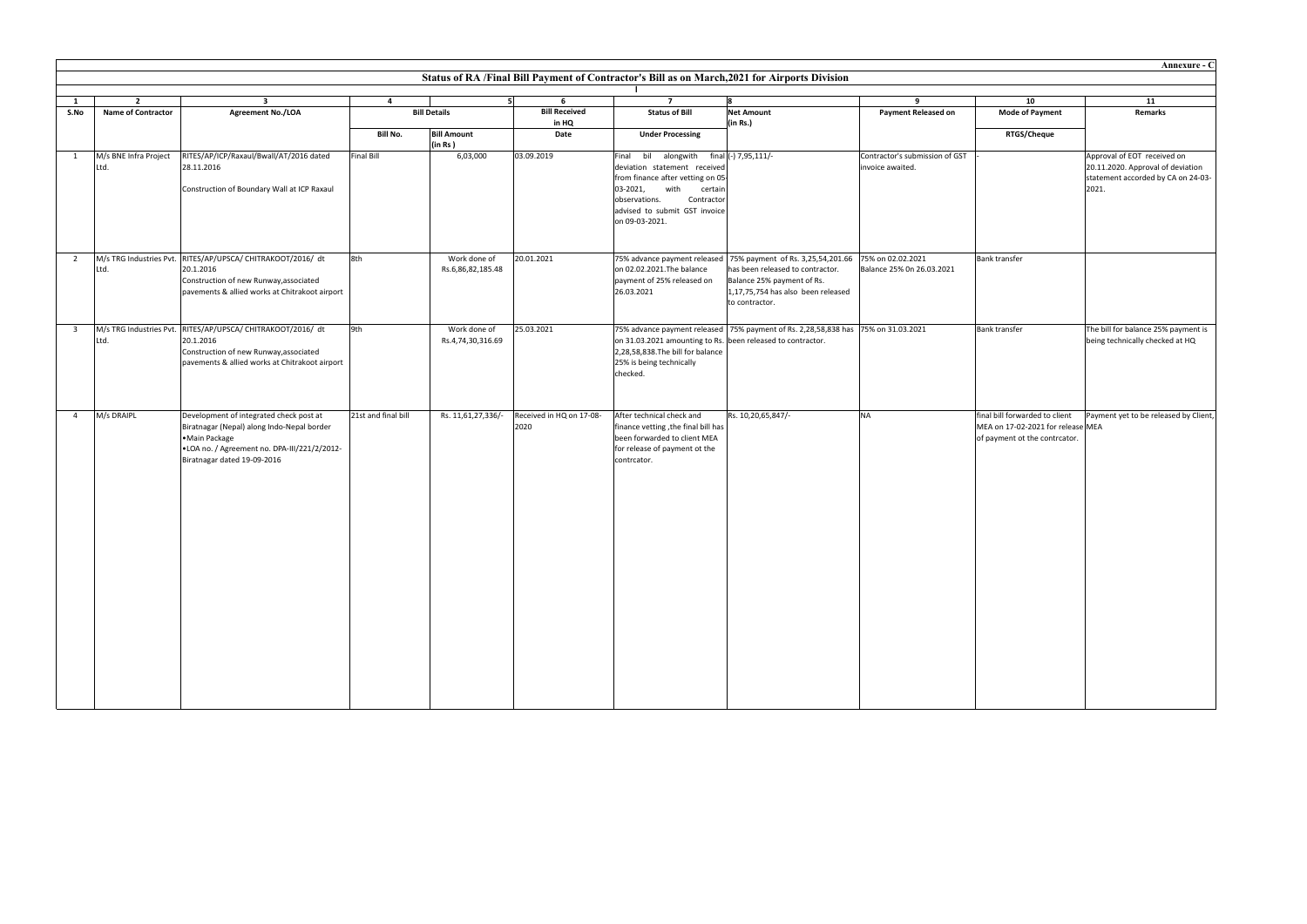| Annexure - C<br>Status of RA /Final Bill Payment of Contractor's Bill as on March, 2021 for Airports Division |                                             |                                                                                                                                                                                       |                     |                                   |                                  |                                                                                                                                                                                                                                |                                                                                                                                                                                                                |                                                    |                                                                                                      |                                                                                                                 |  |  |
|---------------------------------------------------------------------------------------------------------------|---------------------------------------------|---------------------------------------------------------------------------------------------------------------------------------------------------------------------------------------|---------------------|-----------------------------------|----------------------------------|--------------------------------------------------------------------------------------------------------------------------------------------------------------------------------------------------------------------------------|----------------------------------------------------------------------------------------------------------------------------------------------------------------------------------------------------------------|----------------------------------------------------|------------------------------------------------------------------------------------------------------|-----------------------------------------------------------------------------------------------------------------|--|--|
|                                                                                                               |                                             |                                                                                                                                                                                       |                     |                                   |                                  |                                                                                                                                                                                                                                |                                                                                                                                                                                                                |                                                    |                                                                                                      |                                                                                                                 |  |  |
| <sup>1</sup><br>S.No                                                                                          | $\overline{2}$<br><b>Name of Contractor</b> | $\overline{\mathbf{3}}$<br>Agreement No./LOA                                                                                                                                          | $\overline{4}$      | <b>Bill Details</b>               | 51<br>6<br><b>Bill Received</b>  | $\overline{7}$<br><b>Status of Bill</b>                                                                                                                                                                                        | R.<br><b>Net Amount</b>                                                                                                                                                                                        | 9<br><b>Payment Released on</b>                    | 10<br><b>Mode of Payment</b>                                                                         | 11<br>Remarks                                                                                                   |  |  |
|                                                                                                               |                                             |                                                                                                                                                                                       | <b>Bill No.</b>     | <b>Bill Amount</b><br>(in Rs)     | in HQ<br>Date                    | <b>Under Processing</b>                                                                                                                                                                                                        | (in Rs.)                                                                                                                                                                                                       |                                                    | RTGS/Cheque                                                                                          |                                                                                                                 |  |  |
| 1                                                                                                             | M/s BNE Infra Project<br>Ltd.               | RITES/AP/ICP/Raxaul/Bwall/AT/2016 dated<br>28.11.2016<br>Construction of Boundary Wall at ICP Raxaul                                                                                  | <b>Final Bill</b>   | 6,03,000                          | 03.09.2019                       | Final bil alongwith final (-) 7,95,111/-<br>deviation statement received<br>from finance after vetting on 05-<br>03-2021,<br>with<br>certain<br>observations.<br>Contractor<br>advised to submit GST invoice<br>on 09-03-2021. |                                                                                                                                                                                                                | Contractor's submission of GST<br>invoice awaited. |                                                                                                      | Approval of EOT received on<br>20.11.2020. Approval of deviation<br>statement accorded by CA on 24-03-<br>2021. |  |  |
| $\overline{2}$                                                                                                | Ltd.                                        | M/s TRG Industries Pvt. RITES/AP/UPSCA/ CHITRAKOOT/2016/ dt<br>20.1.2016<br>Construction of new Runway, associated<br>pavements & allied works at Chitrakoot airport                  | 8th                 | Work done of<br>Rs.6,86,82,185.48 | 20.01.2021                       | on 02.02.2021. The balance<br>payment of 25% released on<br>26.03.2021                                                                                                                                                         | 75% advance payment released   75% payment of Rs. 3,25,54,201.66   75% on 02.02.2021<br>has been released to contractor.<br>Balance 25% payment of Rs.<br>1,17,75,754 has also been released<br>to contractor. | Balance 25% On 26.03.2021                          | <b>Bank transfer</b>                                                                                 |                                                                                                                 |  |  |
| $\overline{\mathbf{3}}$                                                                                       | Ltd.                                        | M/s TRG Industries Pvt. RITES/AP/UPSCA/ CHITRAKOOT/2016/ dt<br>20.1.2016<br>Construction of new Runway, associated<br>pavements & allied works at Chitrakoot airport                  | 9th                 | Work done of<br>Rs.4,74,30,316.69 | 25.03.2021                       | on 31.03.2021 amounting to Rs. been released to contractor.<br>2,28,58,838. The bill for balance<br>25% is being technically<br>checked.                                                                                       | 75% advance payment released   75% payment of Rs. 2,28,58,838 has   75% on 31.03.2021                                                                                                                          |                                                    | <b>Bank transfer</b>                                                                                 | The bill for balance 25% payment is<br>being technically checked at HQ                                          |  |  |
| $\overline{4}$                                                                                                | M/s DRAIPL                                  | Development of integrated check post at<br>Biratnagar (Nepal) along Indo-Nepal border<br>·Main Package<br>.LOA no. / Agreement no. DPA-III/221/2/2012-<br>Biratnagar dated 19-09-2016 | 21st and final bill | Rs. 11,61,27,336/-                | Received in HQ on 17-08-<br>2020 | After technical check and<br>finance vetting, the final bill has<br>been forwarded to client MEA<br>for release of payment ot the<br>contrcator.                                                                               | Rs. 10,20,65,847/-                                                                                                                                                                                             | <b>NA</b>                                          | final bill forwarded to client<br>MEA on 17-02-2021 for release MEA<br>of payment ot the contrcator. | Payment yet to be released by Client,                                                                           |  |  |